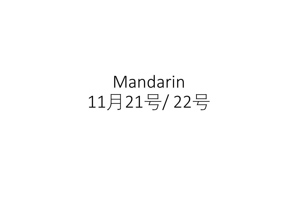Mandarin 11月21号/ 22号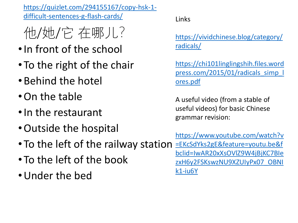[https://quizlet.com/294155167/copy-hsk-1](https://quizlet.com/294155167/copy-hsk-1-difficult-sentences-g-flash-cards/) difficult-sentences-g-flash-cards/ Links

- 他/她/它 在哪儿?
- •In front of the school
- To the right of the chair
- •Behind the hotel
- •On the table
- •In the restaurant
- •Outside the hospital

[https://vividchinese.blog/category/](https://vividchinese.blog/category/radicals/) radicals/

https://chi101linglingshih.files.word [press.com/2015/01/radicals\\_simp\\_l](https://chi101linglingshih.files.wordpress.com/2015/01/radicals_simp_lores.pdf) ores.pdf

A useful video (from a stable of useful videos) for basic Chinese grammar revision:

https://www.youtube.com/watch?v =EKcSdYks2gE&feature=youtu.be&f [bclid=IwAR20xXsOVlZ9W4jBjKC7BIe](https://www.youtube.com/watch?v=EKcSdYks2gE&feature=youtu.be&fbclid=IwAR20xXsOVlZ9W4jBjKC7BIezxH6y2FSKswzNU9XZUIyPx07_OBNIk1-iu6Y) zxH6y2FSKswzNU9XZUIyPx07\_OBNI k1-iu6Y

- To the left of the railway station
- To the left of the book
- •Under the bed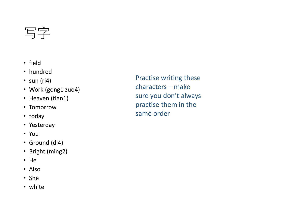## 写字

- field
- hundred
- $\cdot$  sun (ri4)
- Work (gong1 zuo4)
- Heaven (tian1)
- Tomorrow
- today
- Yesterday
- You
- Ground (di4)
- Bright (ming2)
- He
- Also
- She
- white

Practise writing these characters – make sure you don't always practise them in the same order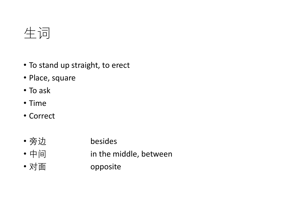生词

- To stand up straight, to erect
- Place, square
- To ask
- Time
- Correct
- 旁边 besides
- 中间 in the middle, between
- 对面 opposite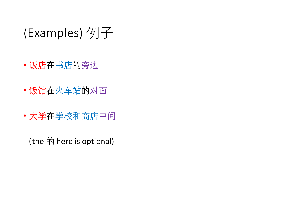## (Examples) 例子

- 饭店在书店的旁边
- 饭馆在火车站的对面
- 大学在学校和商店中间

(the 的 here is optional)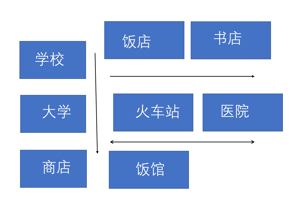